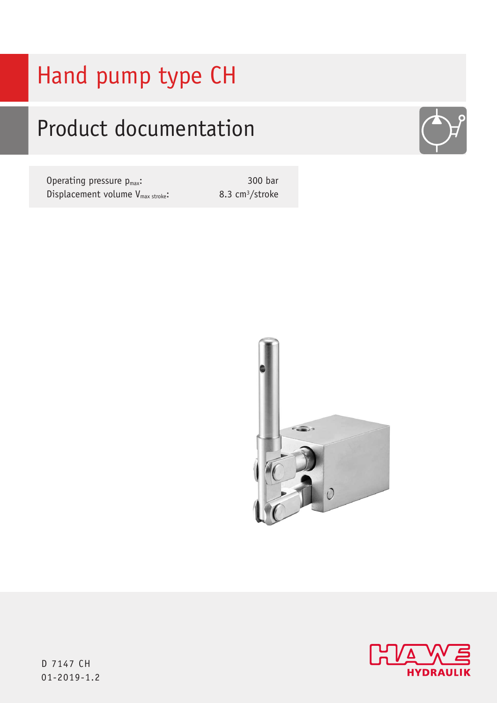# Hand pump type CH

## Product documentation

Operating pressure  $p_{max}$ : Displacement volume V<sub>max stroke</sub>:

300 bar 8.3 cm3/stroke







D 7147 CH 01-2019-1.2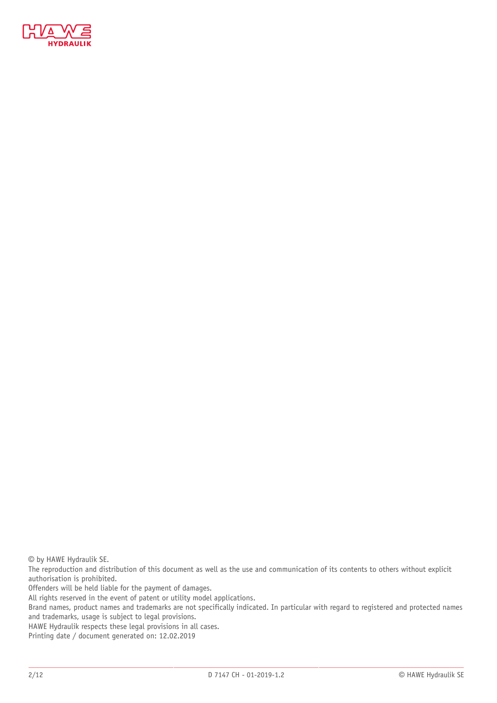

© by HAWE Hydraulik SE.

The reproduction and distribution of this document as well as the use and communication of its contents to others without explicit authorisation is prohibited.

Offenders will be held liable for the payment of damages.

All rights reserved in the event of patent or utility model applications.

Brand names, product names and trademarks are not specifically indicated. In particular with regard to registered and protected names and trademarks, usage is subject to legal provisions.

HAWE Hydraulik respects these legal provisions in all cases.

Printing date / document generated on: 12.02.2019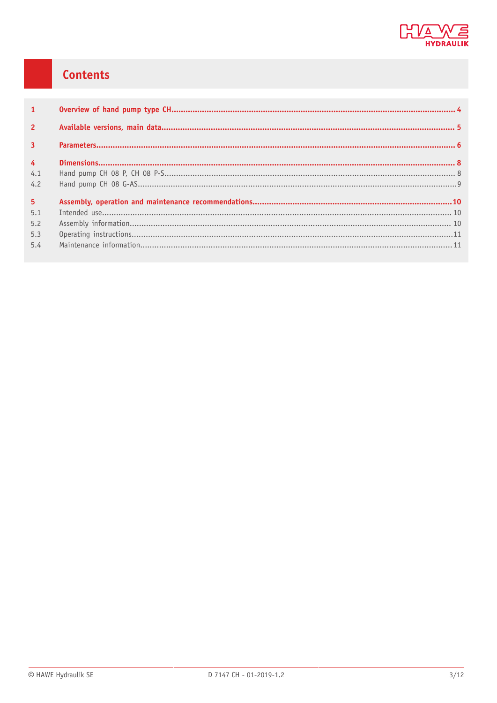

### **Contents**

| $\mathbf{1}$   |  |
|----------------|--|
| $\overline{2}$ |  |
| $\overline{3}$ |  |
| $\overline{4}$ |  |
| 4.1            |  |
| 4.2            |  |
| 5 <sup>1</sup> |  |
| 5.1            |  |
| 5.2            |  |
| 5.3            |  |
| 5.4            |  |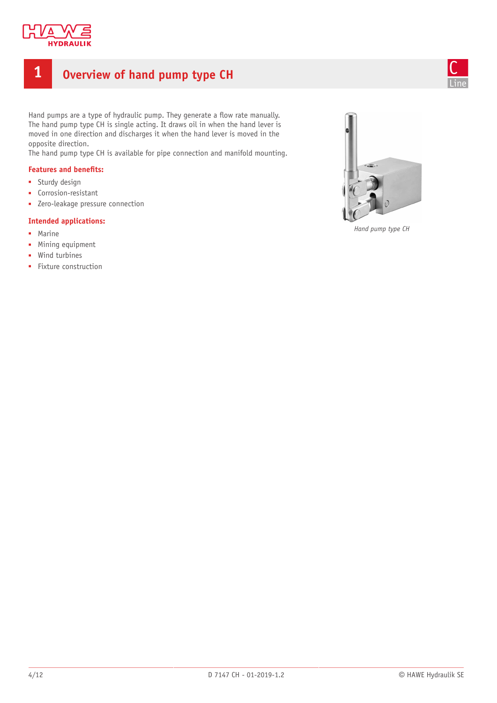

### <span id="page-3-0"></span>**1 Overview of hand pump type CH**



Hand pumps are a type of hydraulic pump. They generate a flow rate manually. The hand pump type CH is single acting. It draws oil in when the hand lever is moved in one direction and discharges it when the hand lever is moved in the opposite direction.

The hand pump type CH is available for pipe connection and manifold mounting.

### **Features** and **benefits:**

- Sturdy design
- Corrosion-resistant
- Zero-leakage pressure connection

#### **Intended applications:**

- Marine
- Mining equipment
- Wind turbines
- Fixture construction



*Hand pump type CH*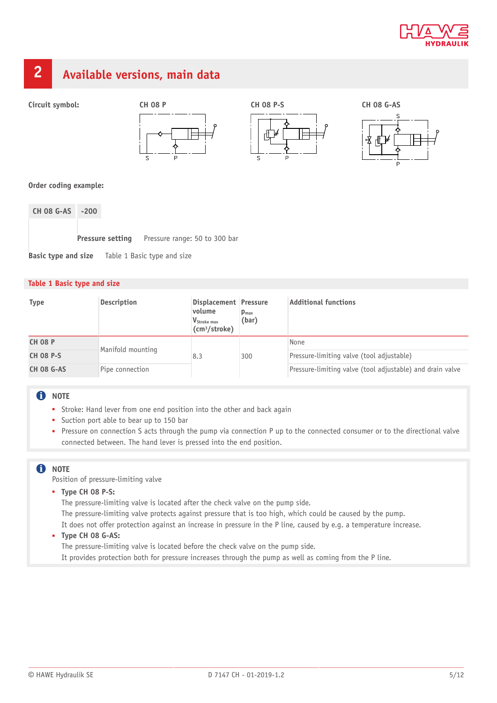

### <span id="page-4-0"></span>**2 Available versions, main data**







### **Order coding example:**

**CH 08 G-AS -200 Pressure setting** Pressure range: 50 to 300 bar **Basic type and size** Table 1 Basic type and size

#### **Table 1 Basic type and size**

| <b>Type</b>       | <b>Description</b> | Displacement Pressure<br>volume<br>V <sub>Stroke max</sub><br>(cm <sup>3</sup> /stroke) | $\mathbf{p}_{\text{max}}$<br>(bar) | <b>Additional functions</b>                               |
|-------------------|--------------------|-----------------------------------------------------------------------------------------|------------------------------------|-----------------------------------------------------------|
| <b>CH 08 P</b>    | Manifold mounting  | 8.3                                                                                     | 300                                | None                                                      |
| <b>CH 08 P-S</b>  |                    |                                                                                         |                                    | Pressure-limiting valve (tool adjustable)                 |
| <b>CH 08 G-AS</b> | Pipe connection    |                                                                                         |                                    | Pressure-limiting valve (tool adjustable) and drain valve |

### **f** NOTE

- Stroke: Hand lever from one end position into the other and back again
- Suction port able to bear up to 150 bar
- Pressure on connection S acts through the pump via connection P up to the connected consumer or to the directional valve connected between. The hand lever is pressed into the end position.

### **n** NOTE

Position of pressure-limiting valve

■ **Type CH 08 P-S:**

The pressure-limiting valve is located after the check valve on the pump side. The pressure-limiting valve protects against pressure that is too high, which could be caused by the pump.

It does not offer protection against an increase in pressure in the P line, caused by e.g. a temperature increase.

### ■ **Type CH 08 G-AS:**

The pressure-limiting valve is located before the check valve on the pump side.

It provides protection both for pressure increases through the pump as well as coming from the P line.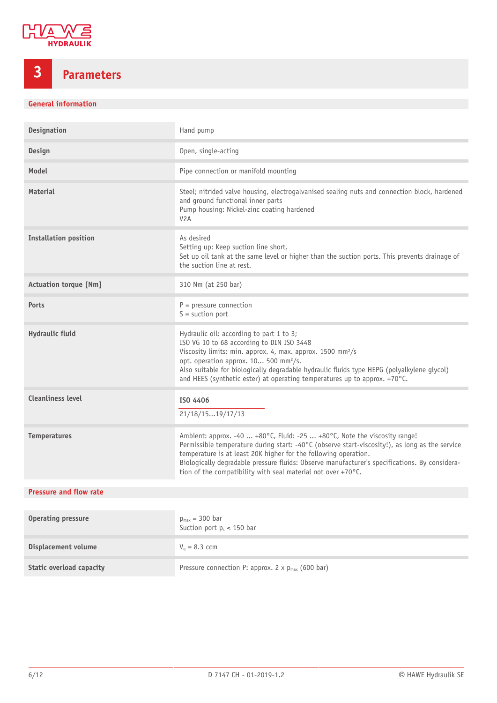

## <span id="page-5-0"></span>**3 Parameters**

### **General information**

| Designation                     | Hand pump                                                                                                                                                                                                                                                                                                                                                                                                       |
|---------------------------------|-----------------------------------------------------------------------------------------------------------------------------------------------------------------------------------------------------------------------------------------------------------------------------------------------------------------------------------------------------------------------------------------------------------------|
| <b>Design</b>                   | Open, single-acting                                                                                                                                                                                                                                                                                                                                                                                             |
| Model                           | Pipe connection or manifold mounting                                                                                                                                                                                                                                                                                                                                                                            |
| <b>Material</b>                 | Steel; nitrided valve housing, electrogalvanised sealing nuts and connection block, hardened<br>and ground functional inner parts<br>Pump housing: Nickel-zinc coating hardened<br>V <sub>2</sub> A                                                                                                                                                                                                             |
| <b>Installation position</b>    | As desired<br>Setting up: Keep suction line short.<br>Set up oil tank at the same level or higher than the suction ports. This prevents drainage of<br>the suction line at rest.                                                                                                                                                                                                                                |
| <b>Actuation torque [Nm]</b>    | 310 Nm (at 250 bar)                                                                                                                                                                                                                                                                                                                                                                                             |
| <b>Ports</b>                    | $P = pressure connection$<br>$S =$ suction port                                                                                                                                                                                                                                                                                                                                                                 |
| Hydraulic fluid                 | Hydraulic oil: according to part 1 to 3;<br>ISO VG 10 to 68 according to DIN ISO 3448<br>Viscosity limits: min. approx. 4, max. approx. 1500 mm <sup>2</sup> /s<br>opt. operation approx. 10 500 mm <sup>2</sup> /s.<br>Also suitable for biologically degradable hydraulic fluids type HEPG (polyalkylene glycol)<br>and HEES (synthetic ester) at operating temperatures up to approx. +70°C.                 |
| <b>Cleanliness level</b>        | ISO 4406<br>21/18/1519/17/13                                                                                                                                                                                                                                                                                                                                                                                    |
| <b>Temperatures</b>             | Ambient: approx. -40  +80°C, Fluid: -25  +80°C, Note the viscosity range!<br>Permissible temperature during start: -40°C (observe start-viscosity!), as long as the service<br>temperature is at least 20K higher for the following operation.<br>Biologically degradable pressure fluids: Observe manufacturer's specifications. By considera-<br>tion of the compatibility with seal material not over +70°C. |
| <b>Pressure and flow rate</b>   |                                                                                                                                                                                                                                                                                                                                                                                                                 |
| <b>Operating pressure</b>       | $p_{max}$ = 300 bar<br>Suction port $p_s < 150$ bar                                                                                                                                                                                                                                                                                                                                                             |
| Displacement volume             | $Va = 8.3$ ccm                                                                                                                                                                                                                                                                                                                                                                                                  |
| <b>Static overload capacity</b> | Pressure connection P: approx. 2 x p <sub>max</sub> (600 bar)                                                                                                                                                                                                                                                                                                                                                   |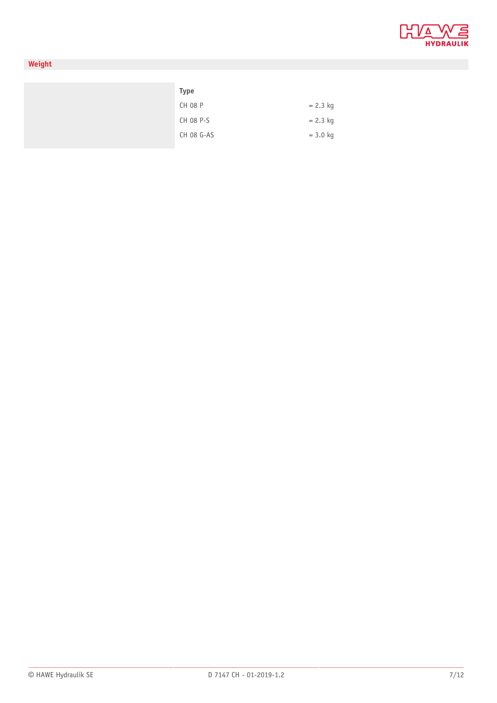

### **Weight**

| Type           |            |
|----------------|------------|
| <b>CH 08 P</b> | $= 2.3$ kg |
| CH 08 P-S      | $= 2.3$ kg |
| CH 08 G-AS     | $= 3.0$ kg |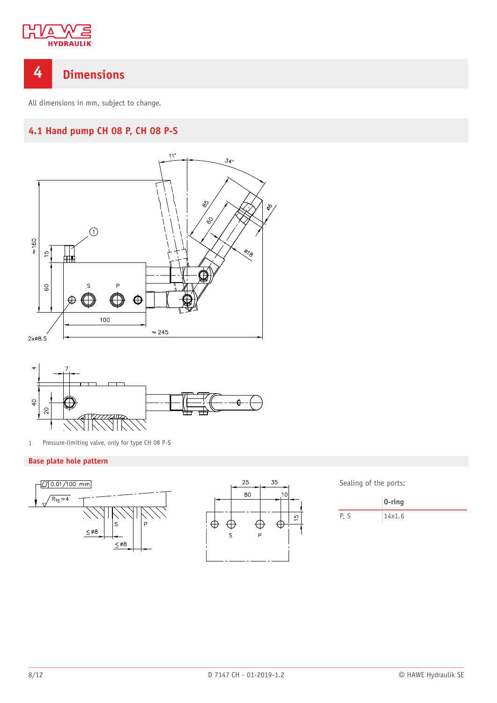

### <span id="page-7-0"></span>**4 Dimensions**

<span id="page-7-1"></span>All dimensions in mm, subject to change.

### **4.1 Hand pump CH 08 P, CH 08 P-S**





1 Pressure-limiting valve, only for type CH 08 P-S

### **Base plate hole pattern**





Sealing of the ports:

|     | $0$ -ring |
|-----|-----------|
| P.S | 14x1.6    |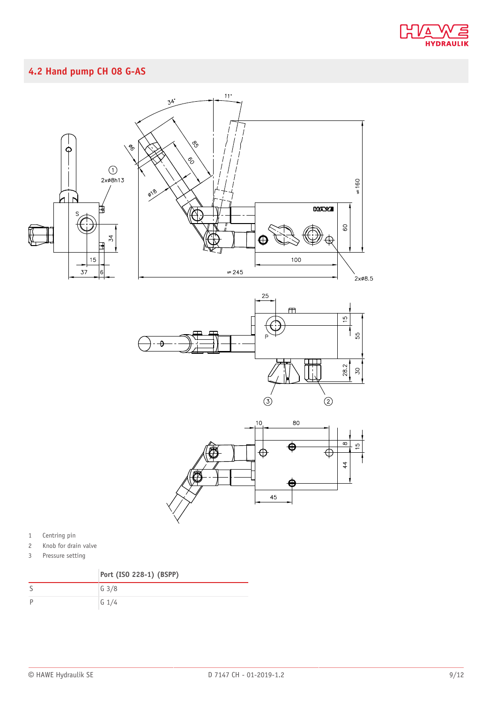

### <span id="page-8-0"></span>**4.2 Hand pump CH 08 G-AS**







- 1 Centring pin
- 2 Knob for drain valve
- 3 Pressure setting

|   | Port (ISO 228-1) (BSPP) |
|---|-------------------------|
|   | G <sub>3/8</sub>        |
| D | $G$ 1/4                 |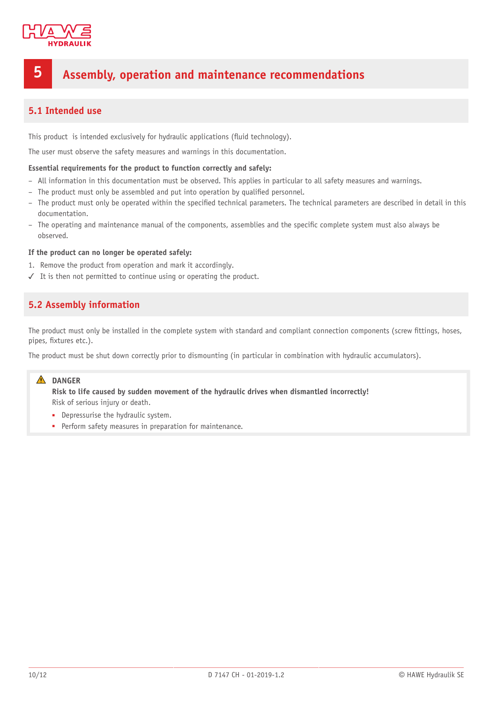

### <span id="page-9-0"></span>**5 Assembly, operation and maintenance recommendations**

### <span id="page-9-1"></span>**5.1 Intended use**

This product is intended exclusively for hydraulic applications (fluid technology).

The user must observe the safety measures and warnings in this documentation.

#### **Essential requirements for the product to function correctly and safely:**

- All information in this documentation must be observed. This applies in particular to all safety measures and warnings.
- The product must only be assembled and put into operation by qualified personnel.
- The product must only be operated within the specified technical parameters. The technical parameters are described in detail in this documentation.
- The operating and maintenance manual of the components, assemblies and the specific complete system must also always be observed.

#### **If the product can no longer be operated safely:**

- 1. Remove the product from operation and mark it accordingly.
- <span id="page-9-2"></span>✓ It is then not permitted to continue using or operating the product.

### **5.2 Assembly information**

The product must only be installed in the complete system with standard and compliant connection components (screw fittings, hoses, pipes, fixtures etc.).

The product must be shut down correctly prior to dismounting (in particular in combination with hydraulic accumulators).

### **DANGER**

**Risk to life caused by sudden movement of the hydraulic drives when dismantled incorrectly!** Risk of serious injury or death.

- Depressurise the hydraulic system.
- Perform safety measures in preparation for maintenance.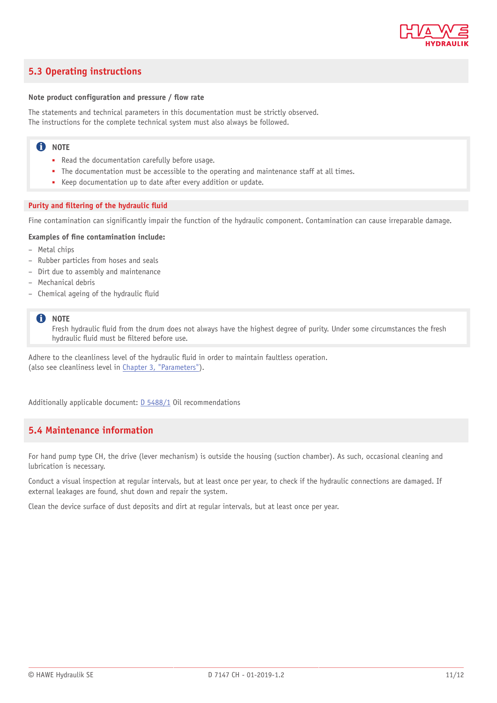

### <span id="page-10-0"></span>**5.3 Operating instructions**

#### **Note** product configuration and pressure / flow rate

The statements and technical parameters in this documentation must be strictly observed. The instructions for the complete technical system must also always be followed.

### **f** NOTE

- Read the documentation carefully before usage.
- The documentation must be accessible to the operating and maintenance staff at all times.
- Keep documentation up to date after every addition or update.

#### **Purity** and **filtering** of the hydraulic fluid

Fine contamination can significantly impair the function of the hydraulic component. Contamination can cause irreparable damage.

#### **Examples of ne contamination include:**

- Metal chips
- Rubber particles from hoses and seals
- Dirt due to assembly and maintenance
- Mechanical debris
- $-$  Chemical ageing of the hydraulic fluid

#### **C** NOTE

Fresh hydraulic fluid from the drum does not always have the highest degree of purity. Under some circumstances the fresh hydraulic fluid must be filtered before use.

Adhere to the cleanliness level of the hydraulic fluid in order to maintain faultless operation. (also see cleanliness level in Chapter 3, ["Parameters"\)](#page-5-0).

<span id="page-10-1"></span>Additionally applicable document: [D 5488/1](http://downloads.hawe.com/5/4/D54881-en.pdf) Oil recommendations

### **5.4 Maintenance information**

For hand pump type CH, the drive (lever mechanism) is outside the housing (suction chamber). As such, occasional cleaning and lubrication is necessary.

Conduct a visual inspection at regular intervals, but at least once per year, to check if the hydraulic connections are damaged. If external leakages are found, shut down and repair the system.

Clean the device surface of dust deposits and dirt at regular intervals, but at least once per year.